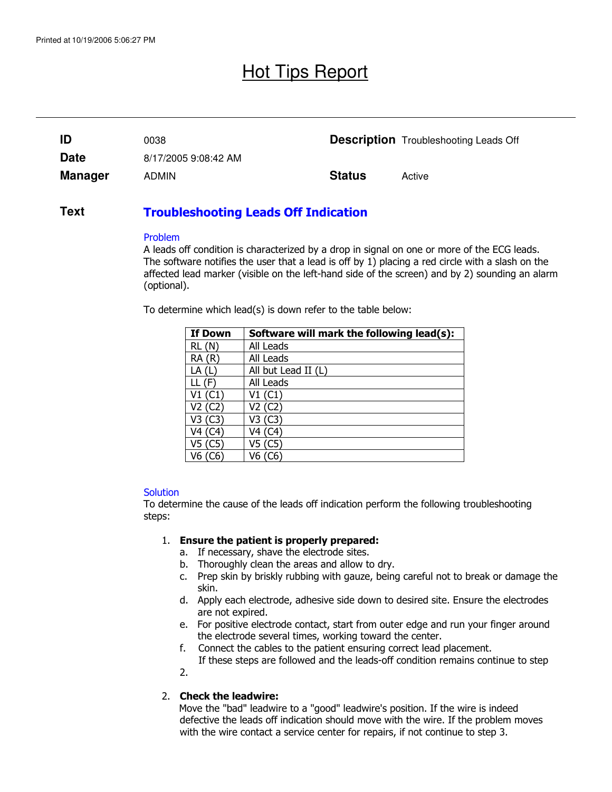# Hot Tips Report

| ID             | 0038                 |               | <b>Description</b> Troubleshooting Leads Off |
|----------------|----------------------|---------------|----------------------------------------------|
| <b>Date</b>    | 8/17/2005 9:08:42 AM |               |                                              |
| <b>Manager</b> | <b>ADMIN</b>         | <b>Status</b> | Active                                       |

#### Troubleshooting Leads Off Indication **Text**

#### Problem

A leads off condition is characterized by a drop in signal on one or more of the ECG leads. The software notifies the user that a lead is off by 1) placing a red circle with a slash on the affected lead marker (visible on the left-hand side of the screen) and by 2) sounding an alarm (optional).

To determine which lead(s) is down refer to the table below:

| <b>If Down</b> | Software will mark the following lead(s): |
|----------------|-------------------------------------------|
| RL(N)          | All Leads                                 |
| RA(R)          | All Leads                                 |
| LA(L)          | All but Lead II (L)                       |
| LL (F)         | All Leads                                 |
| V1(C1)         | V1(C1)                                    |
| V2 (C2)        | V2 (C2)                                   |
| V3 (C3)        | V3 (C3)                                   |
| V4 (C4)        | V4 (C4)                                   |
| V5 (C5)        | V5 (C5)                                   |
| V6 (C6)        | V6 (C6)                                   |

## **Solution**

To determine the cause of the leads off indication perform the following troubleshooting steps:

## 1. Ensure the patient is properly prepared:

- a. If necessary, shave the electrode sites.
- b. Thoroughly clean the areas and allow to dry.
- c. Prep skin by briskly rubbing with gauze, being careful not to break or damage the skin.
- d. Apply each electrode, adhesive side down to desired site. Ensure the electrodes are not expired.
- e. For positive electrode contact, start from outer edge and run your finger around the electrode several times, working toward the center.
- f. Connect the cables to the patient ensuring correct lead placement.
	- If these steps are followed and the leads-off condition remains continue to step

2.

## 2. Check the leadwire:

 Move the "bad" leadwire to a "good" leadwire's position. If the wire is indeed defective the leads off indication should move with the wire. If the problem moves with the wire contact a service center for repairs, if not continue to step 3.